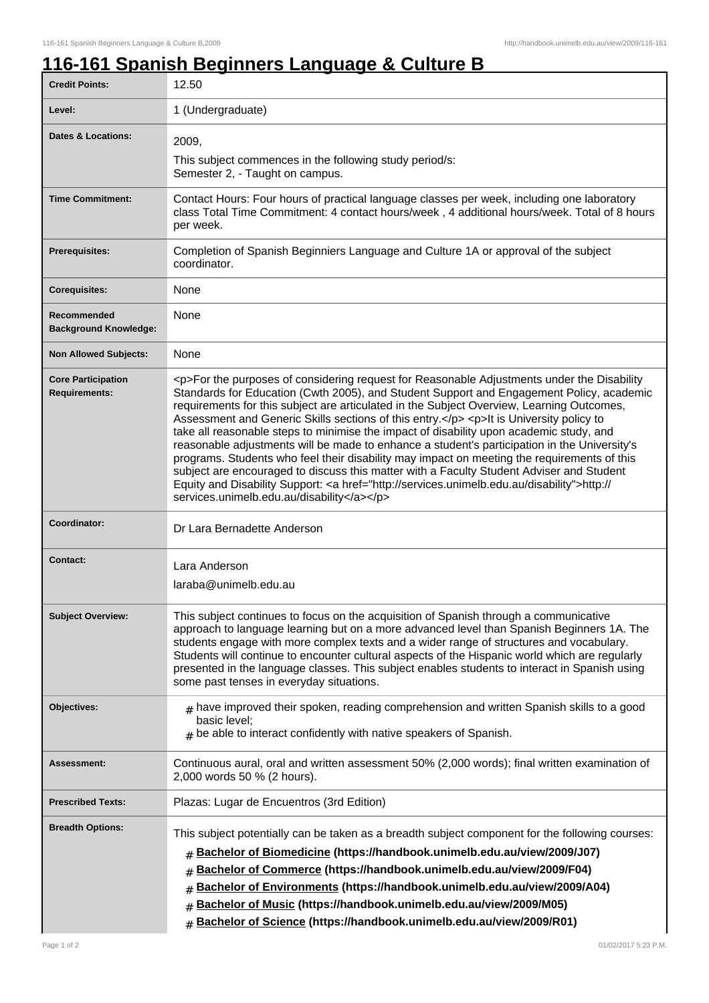ı

## **116-161 Spanish Beginners Language & Culture B**

| <b>Credit Points:</b>                             | 12.50                                                                                                                                                                                                                                                                                                                                                                                                                                                                                                                                                                                                                                                                                                                                                                                                                                                                                                                        |
|---------------------------------------------------|------------------------------------------------------------------------------------------------------------------------------------------------------------------------------------------------------------------------------------------------------------------------------------------------------------------------------------------------------------------------------------------------------------------------------------------------------------------------------------------------------------------------------------------------------------------------------------------------------------------------------------------------------------------------------------------------------------------------------------------------------------------------------------------------------------------------------------------------------------------------------------------------------------------------------|
| Level:                                            | 1 (Undergraduate)                                                                                                                                                                                                                                                                                                                                                                                                                                                                                                                                                                                                                                                                                                                                                                                                                                                                                                            |
| <b>Dates &amp; Locations:</b>                     | 2009,<br>This subject commences in the following study period/s:<br>Semester 2, - Taught on campus.                                                                                                                                                                                                                                                                                                                                                                                                                                                                                                                                                                                                                                                                                                                                                                                                                          |
| <b>Time Commitment:</b>                           | Contact Hours: Four hours of practical language classes per week, including one laboratory<br>class Total Time Commitment: 4 contact hours/week, 4 additional hours/week. Total of 8 hours<br>per week.                                                                                                                                                                                                                                                                                                                                                                                                                                                                                                                                                                                                                                                                                                                      |
| <b>Prerequisites:</b>                             | Completion of Spanish Beginniers Language and Culture 1A or approval of the subject<br>coordinator.                                                                                                                                                                                                                                                                                                                                                                                                                                                                                                                                                                                                                                                                                                                                                                                                                          |
| <b>Corequisites:</b>                              | None                                                                                                                                                                                                                                                                                                                                                                                                                                                                                                                                                                                                                                                                                                                                                                                                                                                                                                                         |
| Recommended<br><b>Background Knowledge:</b>       | None                                                                                                                                                                                                                                                                                                                                                                                                                                                                                                                                                                                                                                                                                                                                                                                                                                                                                                                         |
| <b>Non Allowed Subjects:</b>                      | None                                                                                                                                                                                                                                                                                                                                                                                                                                                                                                                                                                                                                                                                                                                                                                                                                                                                                                                         |
| <b>Core Participation</b><br><b>Requirements:</b> | <p>For the purposes of considering request for Reasonable Adjustments under the Disability<br/>Standards for Education (Cwth 2005), and Student Support and Engagement Policy, academic<br/>requirements for this subject are articulated in the Subject Overview, Learning Outcomes,<br/>Assessment and Generic Skills sections of this entry.</p> <p>lt is University policy to<br/>take all reasonable steps to minimise the impact of disability upon academic study, and<br/>reasonable adjustments will be made to enhance a student's participation in the University's<br/>programs. Students who feel their disability may impact on meeting the requirements of this<br/>subject are encouraged to discuss this matter with a Faculty Student Adviser and Student<br/>Equity and Disability Support: &lt; a href="http://services.unimelb.edu.au/disability"&gt;http://<br/>services.unimelb.edu.au/disability</p> |
| Coordinator:                                      | Dr Lara Bernadette Anderson                                                                                                                                                                                                                                                                                                                                                                                                                                                                                                                                                                                                                                                                                                                                                                                                                                                                                                  |
| <b>Contact:</b>                                   | Lara Anderson<br>laraba@unimelb.edu.au                                                                                                                                                                                                                                                                                                                                                                                                                                                                                                                                                                                                                                                                                                                                                                                                                                                                                       |
| <b>Subject Overview:</b>                          | This subject continues to focus on the acquisition of Spanish through a communicative<br>approach to language learning but on a more advanced level than Spanish Beginners 1A. The<br>students engage with more complex texts and a wider range of structures and vocabulary.<br>Students will continue to encounter cultural aspects of the Hispanic world which are regularly<br>presented in the language classes. This subject enables students to interact in Spanish using<br>some past tenses in everyday situations.                                                                                                                                                                                                                                                                                                                                                                                                 |
| Objectives:                                       | $_{\text{\#}}$ have improved their spoken, reading comprehension and written Spanish skills to a good<br>basic level;<br>$#$ be able to interact confidently with native speakers of Spanish.                                                                                                                                                                                                                                                                                                                                                                                                                                                                                                                                                                                                                                                                                                                                |
| Assessment:                                       | Continuous aural, oral and written assessment 50% (2,000 words); final written examination of<br>2,000 words 50 % (2 hours).                                                                                                                                                                                                                                                                                                                                                                                                                                                                                                                                                                                                                                                                                                                                                                                                 |
| <b>Prescribed Texts:</b>                          | Plazas: Lugar de Encuentros (3rd Edition)                                                                                                                                                                                                                                                                                                                                                                                                                                                                                                                                                                                                                                                                                                                                                                                                                                                                                    |
| <b>Breadth Options:</b>                           | This subject potentially can be taken as a breadth subject component for the following courses:<br>Bachelor of Biomedicine (https://handbook.unimelb.edu.au/view/2009/J07)<br>#<br>Bachelor of Commerce (https://handbook.unimelb.edu.au/view/2009/F04)<br>#<br>Bachelor of Environments (https://handbook.unimelb.edu.au/view/2009/A04)<br>#<br>Bachelor of Music (https://handbook.unimelb.edu.au/view/2009/M05)<br>#<br>Bachelor of Science (https://handbook.unimelb.edu.au/view/2009/R01)<br>#                                                                                                                                                                                                                                                                                                                                                                                                                          |